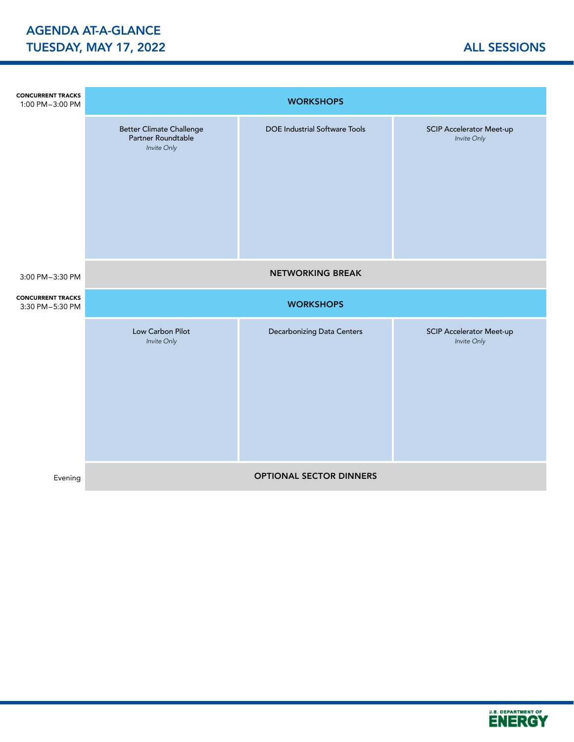| <b>CONCURRENT TRACKS</b><br>1:00 PM-3:00 PM | <b>WORKSHOPS</b>                                                     |                                      |                                                |  |  |  |  |  |  |
|---------------------------------------------|----------------------------------------------------------------------|--------------------------------------|------------------------------------------------|--|--|--|--|--|--|
|                                             | <b>Better Climate Challenge</b><br>Partner Roundtable<br>Invite Only | <b>DOE Industrial Software Tools</b> | <b>SCIP Accelerator Meet-up</b><br>Invite Only |  |  |  |  |  |  |
| 3:00 PM-3:30 PM                             | <b>NETWORKING BREAK</b>                                              |                                      |                                                |  |  |  |  |  |  |
| <b>CONCURRENT TRACKS</b><br>3:30 PM-5:30 PM | <b>WORKSHOPS</b>                                                     |                                      |                                                |  |  |  |  |  |  |
|                                             | Low Carbon Pilot<br>Invite Only                                      | Decarbonizing Data Centers           | <b>SCIP Accelerator Meet-up</b><br>Invite Only |  |  |  |  |  |  |
|                                             |                                                                      | <b>OPTIONAL SECTOR DINNERS</b>       |                                                |  |  |  |  |  |  |

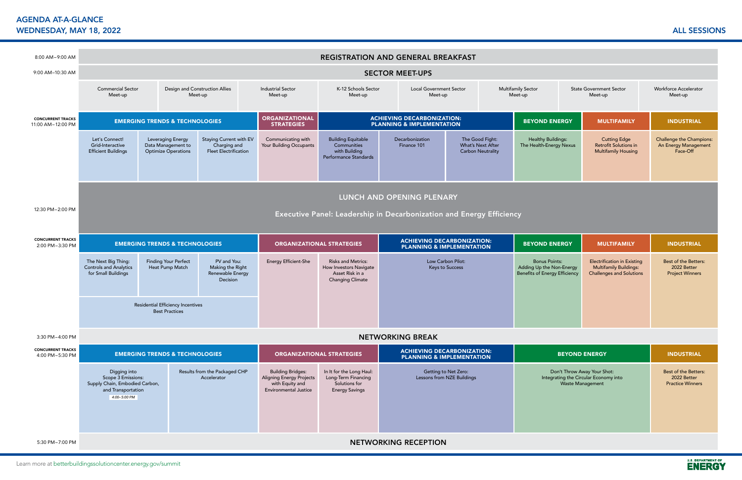Learn more at betterbuildingssolutioncenter.energy.gov/summit

## AGENDA AT-A-GLANCE WEDNESDAY, MAY 18, 2022 ALL SESSIONS

l



| 8:00 AM-9:00 AM                               | <b>REGISTRATION AND GENERAL BREAKFAST</b>                                                                  |                                                                                                                                                                                                                                                                                                      |                                                                                                                                                                                                                    |                                                                                                                |                                                                                           |                                                                                                        |                                                                  |                                                                                                 |                                                                            |                                                                |  |
|-----------------------------------------------|------------------------------------------------------------------------------------------------------------|------------------------------------------------------------------------------------------------------------------------------------------------------------------------------------------------------------------------------------------------------------------------------------------------------|--------------------------------------------------------------------------------------------------------------------------------------------------------------------------------------------------------------------|----------------------------------------------------------------------------------------------------------------|-------------------------------------------------------------------------------------------|--------------------------------------------------------------------------------------------------------|------------------------------------------------------------------|-------------------------------------------------------------------------------------------------|----------------------------------------------------------------------------|----------------------------------------------------------------|--|
| 9:00 AM-10:30 AM                              | <b>SECTOR MEET-UPS</b>                                                                                     |                                                                                                                                                                                                                                                                                                      |                                                                                                                                                                                                                    |                                                                                                                |                                                                                           |                                                                                                        |                                                                  |                                                                                                 |                                                                            |                                                                |  |
|                                               | <b>Commercial Sector</b><br>Meet-up                                                                        |                                                                                                                                                                                                                                                                                                      | Design and Construction Allies<br><b>Industrial Sector</b><br>K-12 Schools Sector<br><b>Local Government Sector</b><br><b>Multifamily Sector</b><br>Meet-up<br>Meet-up<br>Meet-up<br>Meet-up<br>Meet-up<br>Meet-up |                                                                                                                | <b>State Government Sector</b>                                                            | <b>Workforce Accelerator</b><br>Meet-up                                                                |                                                                  |                                                                                                 |                                                                            |                                                                |  |
| <b>CONCURRENT TRACKS</b><br>11:00 AM-12:00 PM | <b>EMERGING TRENDS &amp; TECHNOLOGIES</b>                                                                  |                                                                                                                                                                                                                                                                                                      |                                                                                                                                                                                                                    | <b>ORGANIZATIONAL</b><br><b>STRATEGIES</b>                                                                     | <b>ACHIEVING DECARBONIZATION:</b><br><b>PLANNING &amp; IMPLEMENTATION</b>                 |                                                                                                        |                                                                  | <b>BEYOND ENERGY</b><br><b>MULTIFAMILY</b>                                                      |                                                                            | <b>INDUSTRIAL</b>                                              |  |
|                                               | Let's Connect!<br>Grid-Interactive<br><b>Efficient Buildings</b>                                           | Leveraging Energy<br>Data Management to<br><b>Optimize Operations</b>                                                                                                                                                                                                                                | Staying Current with EV<br>Charging and<br><b>Fleet Electrification</b>                                                                                                                                            | Communicating with<br>Your Building Occupants                                                                  | <b>Building Equitable</b><br>Communities<br>with Building<br>Performance Standards        | Decarbonization<br>Finance 101                                                                         | The Good Fight:<br>What's Next After<br><b>Carbon Neutrality</b> | <b>Healthy Buildings:</b><br>The Health-Energy Nexus                                            | <b>Cutting Edge</b><br>Retrofit Solutions in<br><b>Multifamily Housing</b> | Challenge the Champions:<br>An Energy Management<br>Face-Off   |  |
|                                               |                                                                                                            |                                                                                                                                                                                                                                                                                                      |                                                                                                                                                                                                                    |                                                                                                                |                                                                                           | LUNCH AND OPENING PLENARY                                                                              |                                                                  |                                                                                                 |                                                                            |                                                                |  |
| 12:30 PM-2:00 PM                              | Executive Panel: Leadership in Decarbonization and Energy Efficiency                                       |                                                                                                                                                                                                                                                                                                      |                                                                                                                                                                                                                    |                                                                                                                |                                                                                           |                                                                                                        |                                                                  |                                                                                                 |                                                                            |                                                                |  |
| <b>CONCURRENT TRACKS</b><br>2:00 PM-3:30 PM   | <b>EMERGING TRENDS &amp; TECHNOLOGIES</b>                                                                  |                                                                                                                                                                                                                                                                                                      |                                                                                                                                                                                                                    | <b>ORGANIZATIONAL STRATEGIES</b>                                                                               |                                                                                           | <b>ACHIEVING DECARBONIZATION:</b><br><b>PLANNING &amp; IMPLEMENTATION</b>                              |                                                                  | <b>BEYOND ENERGY</b><br><b>MULTIFAMILY</b>                                                      |                                                                            | <b>INDUSTRIAL</b>                                              |  |
|                                               | The Next Big Thing:<br><b>Controls and Analytics</b><br>for Small Buildings                                | PV and You:<br><b>Finding Your Perfect</b><br><b>Energy Efficient-She</b><br><b>Risks and Metrics:</b><br>Low Carbon Pilot:<br>Making the Right<br>Heat Pump Match<br>How Investors Navigate<br><b>Keys to Success</b><br>Renewable Energy<br>Asset Risk in a<br><b>Changing Climate</b><br>Decision |                                                                                                                                                                                                                    |                                                                                                                | <b>Bonus Points:</b><br>Adding Up the Non-Energy<br><b>Benefits of Energy Efficiency</b>  | <b>Electrification in Existing</b><br><b>Multifamily Buildings:</b><br><b>Challenges and Solutions</b> | Best of the Betters:<br>2022 Better<br><b>Project Winners</b>    |                                                                                                 |                                                                            |                                                                |  |
|                                               | Residential Efficiency Incentives<br><b>Best Practices</b>                                                 |                                                                                                                                                                                                                                                                                                      |                                                                                                                                                                                                                    |                                                                                                                |                                                                                           |                                                                                                        |                                                                  |                                                                                                 |                                                                            |                                                                |  |
| 3:30 PM-4:00 PM                               |                                                                                                            |                                                                                                                                                                                                                                                                                                      |                                                                                                                                                                                                                    |                                                                                                                |                                                                                           | <b>NETWORKING BREAK</b>                                                                                |                                                                  |                                                                                                 |                                                                            |                                                                |  |
| <b>CONCURRENT TRACKS</b><br>4:00 PM-5:30 PM   | <b>EMERGING TRENDS &amp; TECHNOLOGIES</b>                                                                  |                                                                                                                                                                                                                                                                                                      |                                                                                                                                                                                                                    | <b>ORGANIZATIONAL STRATEGIES</b>                                                                               |                                                                                           | <b>ACHIEVING DECARBONIZATION:</b><br><b>PLANNING &amp; IMPLEMENTATION</b>                              |                                                                  | <b>BEYOND ENERGY</b><br><b>INDUSTRIAL</b>                                                       |                                                                            |                                                                |  |
|                                               | Digging into<br>Scope 3 Emissions:<br>Supply Chain, Embodied Carbon,<br>and Transportation<br>4:00-5:00 PM |                                                                                                                                                                                                                                                                                                      | Results from the Packaged CHP<br>Accelerator                                                                                                                                                                       | <b>Building Bridges:</b><br><b>Aligning Energy Projects</b><br>with Equity and<br><b>Environmental Justice</b> | In It for the Long Haul:<br>Long-Term Financing<br>Solutions for<br><b>Energy Savings</b> |                                                                                                        | Getting to Net Zero:<br>Lessons from NZE Buildings               | Don't Throw Away Your Shot:<br>Integrating the Circular Economy into<br><b>Waste Management</b> |                                                                            | Best of the Betters:<br>2022 Better<br><b>Practice Winners</b> |  |
| 5:30 PM-7:00 PM                               | <b>NETWORKING RECEPTION</b>                                                                                |                                                                                                                                                                                                                                                                                                      |                                                                                                                                                                                                                    |                                                                                                                |                                                                                           |                                                                                                        |                                                                  |                                                                                                 |                                                                            |                                                                |  |